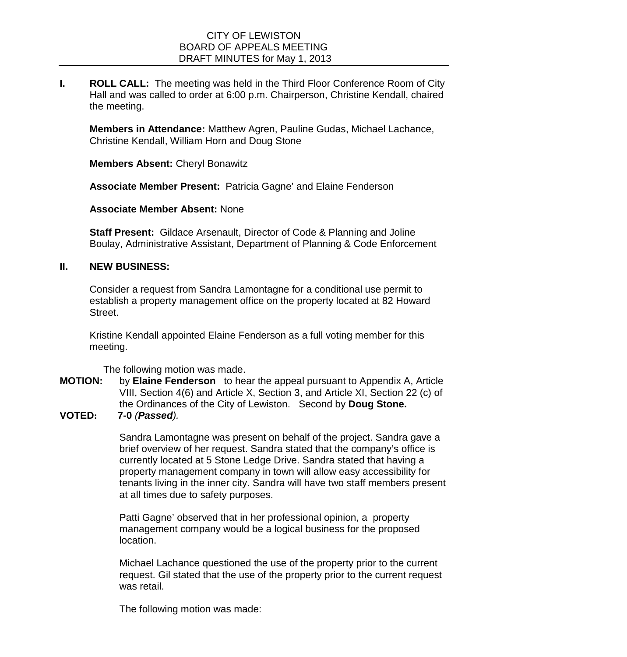## CITY OF LEWISTON BOARD OF APPEALS MEETING DRAFT MINUTES for May 1, 2013

**I. ROLL CALL:** The meeting was held in the Third Floor Conference Room of City Hall and was called to order at 6:00 p.m. Chairperson, Christine Kendall, chaired the meeting.

**Members in Attendance:** Matthew Agren, Pauline Gudas, Michael Lachance, Christine Kendall, William Horn and Doug Stone

**Members Absent:** Cheryl Bonawitz

**Associate Member Present:** Patricia Gagne' and Elaine Fenderson

**Associate Member Absent:** None

**Staff Present:** Gildace Arsenault, Director of Code & Planning and Joline Boulay, Administrative Assistant, Department of Planning & Code Enforcement

## **II. NEW BUSINESS:**

Consider a request from Sandra Lamontagne for a conditional use permit to establish a property management office on the property located at 82 Howard Street.

Kristine Kendall appointed Elaine Fenderson as a full voting member for this meeting.

The following motion was made.

**MOTION:** by **Elaine Fenderson** to hear the appeal pursuant to Appendix A, Article VIII, Section 4(6) and Article X, Section 3, and Article XI, Section 22 (c) of the Ordinances of the City of Lewiston. Second by **Doug Stone.**

**VOTED: 7-0** *(Passed).*

Sandra Lamontagne was present on behalf of the project. Sandra gave a brief overview of her request. Sandra stated that the company's office is currently located at 5 Stone Ledge Drive. Sandra stated that having a property management company in town will allow easy accessibility for tenants living in the inner city. Sandra will have two staff members present at all times due to safety purposes.

Patti Gagne' observed that in her professional opinion, a property management company would be a logical business for the proposed location.

Michael Lachance questioned the use of the property prior to the current request. Gil stated that the use of the property prior to the current request was retail.

The following motion was made: